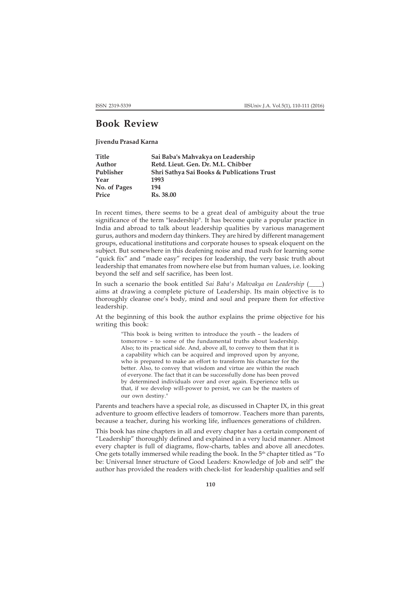## **Book Review**

**Jivendu Prasad Karna**

| <b>Title</b> | Sai Baba's Mahvakya on Leadership          |
|--------------|--------------------------------------------|
| Author       | Retd. Lieut. Gen. Dr. M.L. Chibber         |
| Publisher    | Shri Sathya Sai Books & Publications Trust |
| Year         | 1993                                       |
| No. of Pages | 194                                        |
| Price        | Rs. 38.00                                  |

In recent times, there seems to be a great deal of ambiguity about the true significance of the term "leadership". It has become quite a popular practice in India and abroad to talk about leadership qualities by various management gurus, authors and modern day thinkers. They are hired by different management groups, educational institutions and corporate houses to spseak eloquent on the subject. But somewhere in this deafening noise and mad rush for learning some "quick fix" and "made easy" recipes for leadership, the very basic truth about leadership that emanates from nowhere else but from human values, i.e. looking beyond the self and self sacrifice, has been lost.

In such a scenario the book entitled *Sai Baba's Mahvakya on Leadership* (\_\_\_\_) aims at drawing a complete picture of Leadership. Its main objective is to thoroughly cleanse one's body, mind and soul and prepare them for effective leadership.

At the beginning of this book the author explains the prime objective for his writing this book:

> "This book is being written to introduce the youth – the leaders of tomorrow – to some of the fundamental truths about leadership. Also; to its practical side. And, above all, to convey to them that it is a capability which can be acquired and improved upon by anyone, who is prepared to make an effort to transform his character for the better. Also, to convey that wisdom and virtue are within the reach of everyone. The fact that it can be successfully done has been proved by determined individuals over and over again. Experience tells us that, if we develop will-power to persist, we can be the masters of our own destiny."

Parents and teachers have a special role, as discussed in Chapter IX, in this great adventure to groom effective leaders of tomorrow. Teachers more than parents, because a teacher, during his working life, influences generations of children.

This book has nine chapters in all and every chapter has a certain component of "Leadership" thoroughly defined and explained in a very lucid manner. Almost every chapter is full of diagrams, flow-charts, tables and above all anecdotes. One gets totally immersed while reading the book. In the 5<sup>th</sup> chapter titled as "To be: Universal Inner structure of Good Leaders: Knowledge of Job and self" the author has provided the readers with check-list for leadership qualities and self